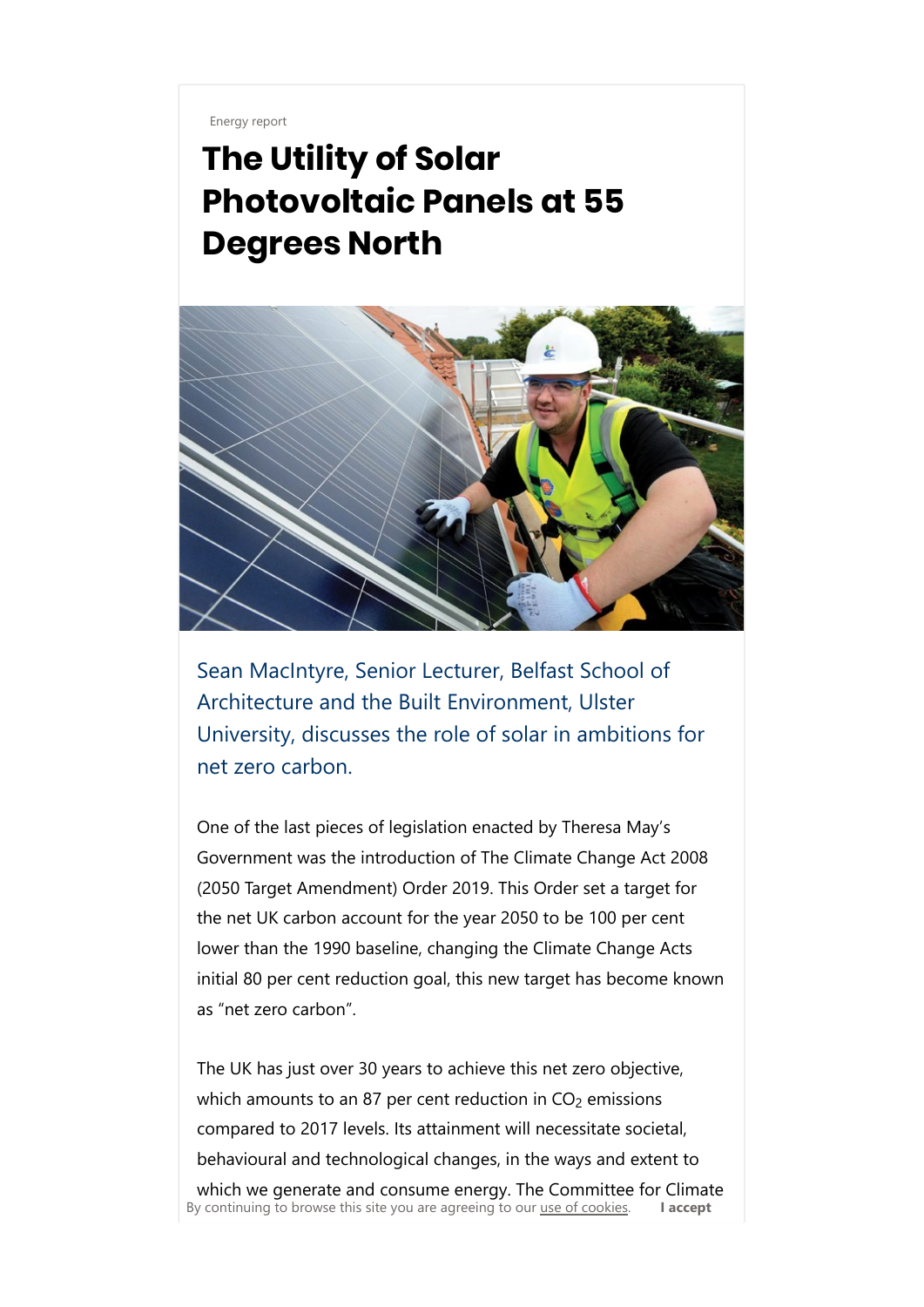Energy report

## The Utility of Solar Photovoltaic Panels at 55 Degrees North



Sean MacIntyre, Senior Lecturer, Belfast School of Architecture and the Built Environment, Ulster University, discusses the role of solar in ambitions for net zero carbon.

One of the last pieces of legislation enacted by Theresa May's Government was the introduction of The Climate Change Act 2008 (2050 Target Amendment) Order 2019. This Order set a target for the net UK carbon account for the year 2050 to be 100 per cent lower than the 1990 baseline, changing the Climate Change Acts initial 80 per cent reduction goal, this new target has become known as "net zero carbon".

The UK has just over 30 years to achieve this net zero objective, which amounts to an 87 per cent reduction in CO $_2$  emissions compared to 2017 levels. Its attainment will necessitate societal, behavioural and technological changes, in the ways and extent to which we generate and consume energy. The Committee for Climate By continuing to browse this site you are agreeing to our use of cookies.  $\blacksquare$  **I accept**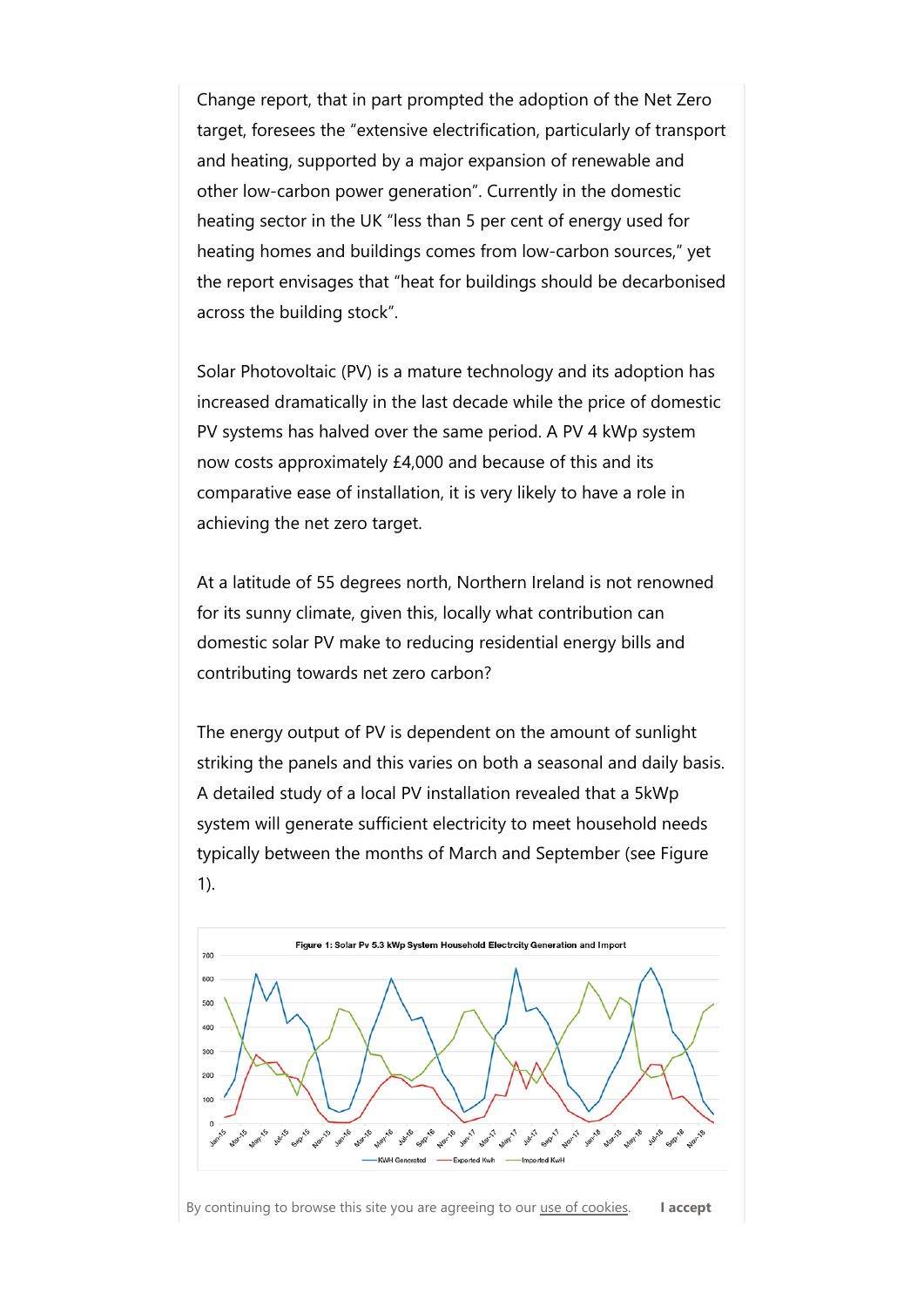Change report, that in part prompted the adoption of the Net Zero target, foresees the "extensive electrification, particularly of transport and heating, supported by a major expansion of renewable and other low-carbon power generation". Currently in the domestic heating sector in the UK "less than 5 per cent of energy used for heating homes and buildings comes from low-carbon sources," yet the report envisages that "heat for buildings should be decarbonised across the building stock".

Solar Photovoltaic (PV) is a mature technology and its adoption has increased dramatically in the last decade while the price of domestic PV systems has halved over the same period. A PV 4 kWp system now costs approximately £4,000 and because of this and its comparative ease of installation, it is very likely to have a role in achieving the net zero target.

At a latitude of 55 degrees north, Northern Ireland is not renowned for its sunny climate, given this, locally what contribution can domestic solar PV make to reducing residential energy bills and contributing towards net zero carbon?

The energy output of PV is dependent on the amount of sunlight striking the panels and this varies on both a seasonal and daily basis. A detailed study of a local PV installation revealed that a 5kWp system will generate sufficient electricity to meet household needs typically between the months of March and September (see Figure 1).



By continuing to browse this site you are agreeing to our use of cookies. I accept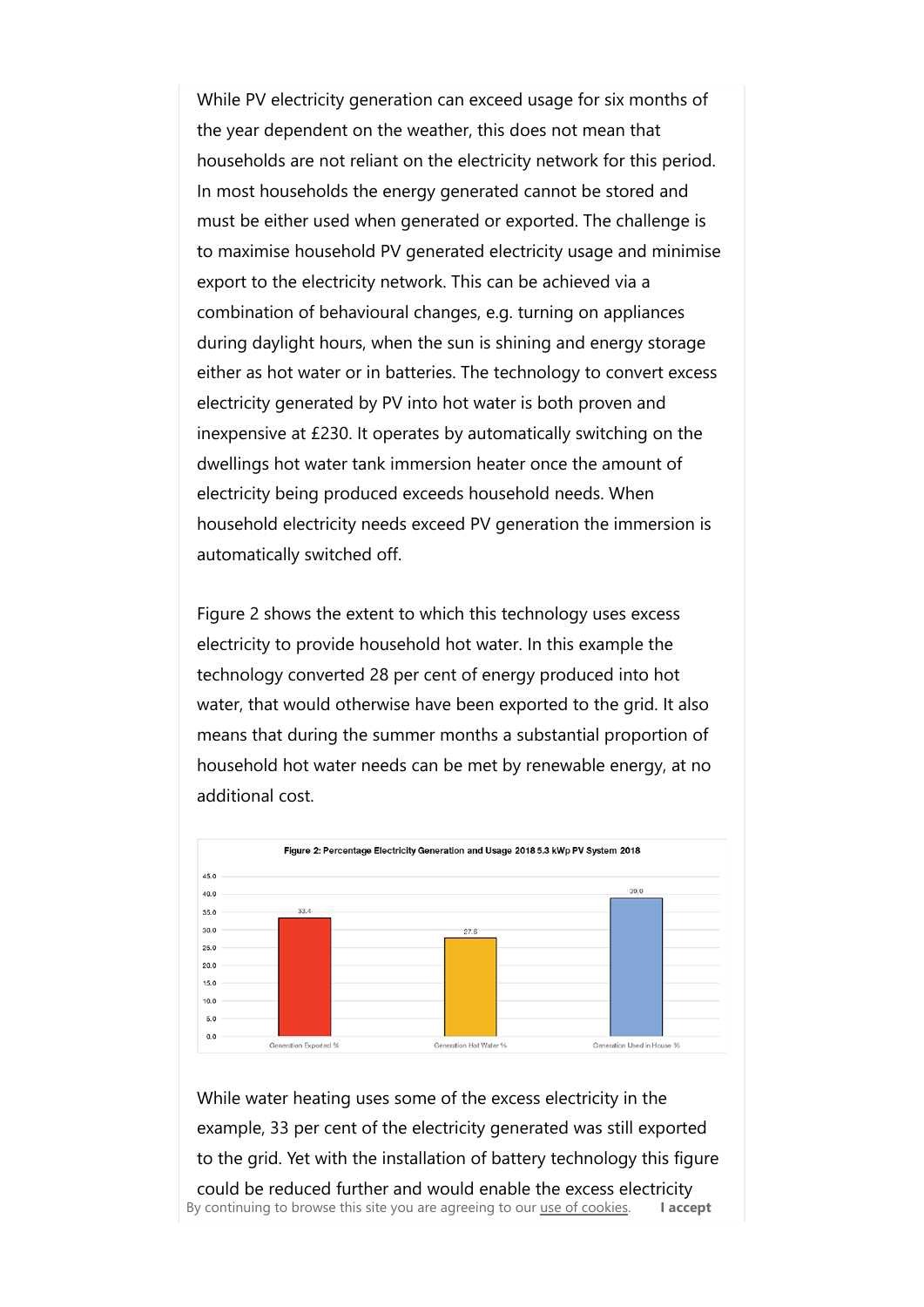While PV electricity generation can exceed usage for six months of the year dependent on the weather, this does not mean that households are not reliant on the electricity network for this period. In most households the energy generated cannot be stored and must be either used when generated or exported. The challenge is to maximise household PV generated electricity usage and minimise export to the electricity network. This can be achieved via a combination of behavioural changes, e.g. turning on appliances during daylight hours, when the sun is shining and energy storage either as hot water or in batteries. The technology to convert excess electricity generated by PV into hot water is both proven and inexpensive at £230. It operates by automatically switching on the dwellings hot water tank immersion heater once the amount of electricity being produced exceeds household needs. When household electricity needs exceed PV generation the immersion is automatically switched off.

Figure 2 shows the extent to which this technology uses excess electricity to provide household hot water. In this example the technology converted 28 per cent of energy produced into hot water, that would otherwise have been exported to the grid. It also means that during the summer months a substantial proportion of household hot water needs can be met by renewable energy, at no additional cost.



While water heating uses some of the excess electricity in the example, 33 per cent of the electricity generated was still exported to the grid. Yet with the installation of battery technology this figure could be reduced further and would enable the excess electricity By continuing to browse this site you are agreeing to our use of cookies. I accept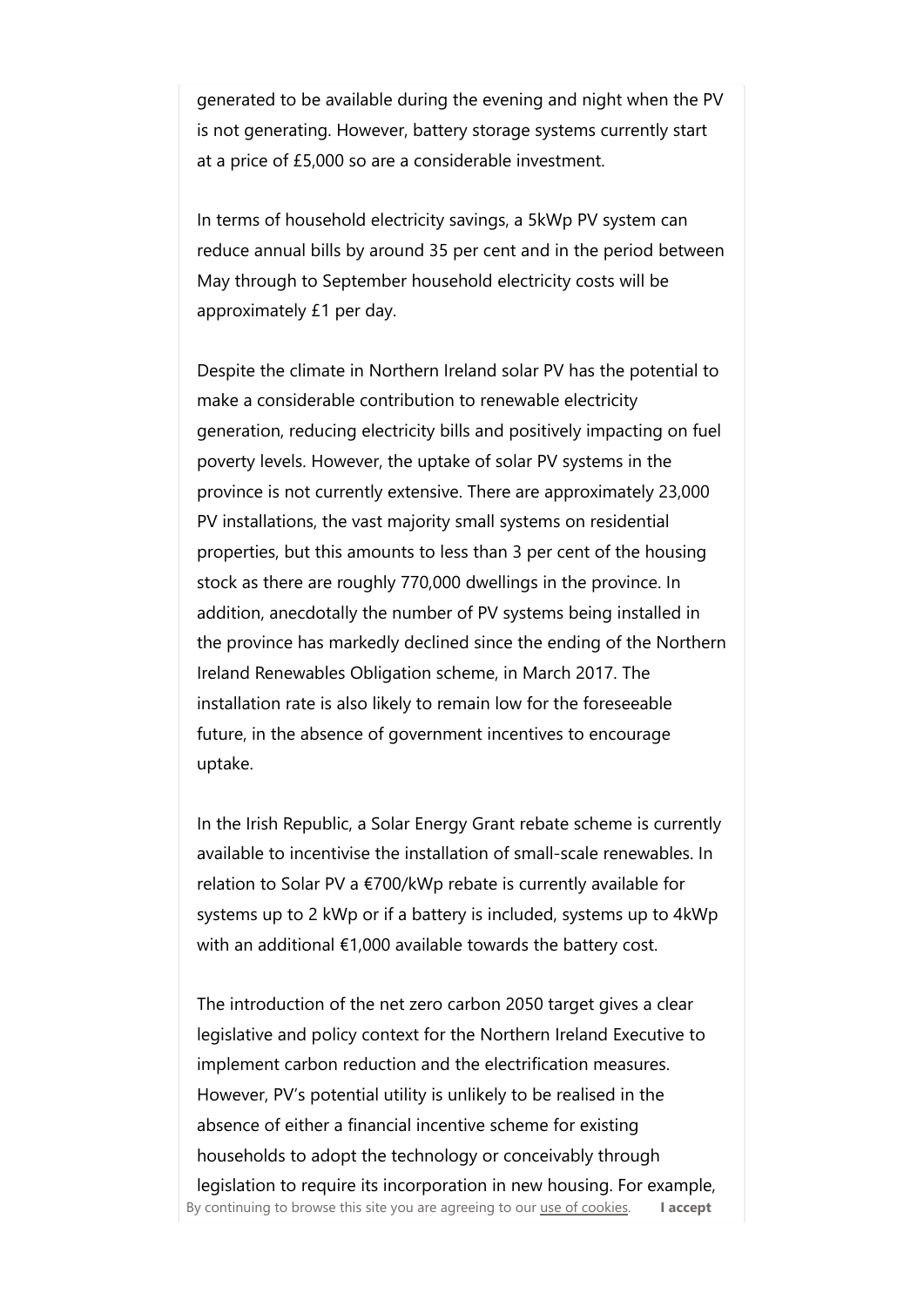generated to be available during the evening and night when the PV is not generating. However, battery storage systems currently start at a price of £5,000 so are a considerable investment.

In terms of household electricity savings, a 5kWp PV system can reduce annual bills by around 35 per cent and in the period between May through to September household electricity costs will be approximately £1 per day.

Despite the climate in Northern Ireland solar PV has the potential to make a considerable contribution to renewable electricity generation, reducing electricity bills and positively impacting on fuel poverty levels. However, the uptake of solar PV systems in the province is not currently extensive. There are approximately 23,000 PV installations, the vast majority small systems on residential properties, but this amounts to less than 3 per cent of the housing stock as there are roughly 770,000 dwellings in the province. In addition, anecdotally the number of PV systems being installed in the province has markedly declined since the ending of the Northern Ireland Renewables Obligation scheme, in March 2017. The installation rate is also likely to remain low for the foreseeable future, in the absence of government incentives to encourage uptake.

In the Irish Republic, a Solar Energy Grant rebate scheme is currently available to incentivise the installation of small-scale renewables. In relation to Solar PV a €700/kWp rebate is currently available for systems up to 2 kWp or if a battery is included, systems up to 4kWp with an additional €1,000 available towards the battery cost.

The introduction of the net zero carbon 2050 target gives a clear legislative and policy context for the Northern Ireland Executive to implement carbon reduction and the electrification measures. However, PV's potential utility is unlikely to be realised in the absence of either a financial incentive scheme for existing households to adopt the technology or conceivably through legislation to require its incorporation in new housing. For example, By continuing to browse this site you are agreeing to our use of cookies. I accept